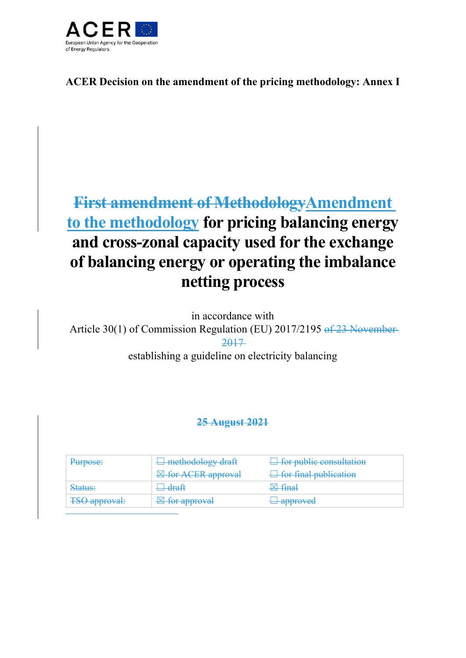

**ACER Decision on the amendment of the pricing methodology: Annex I** 

# **First amendment of MethodologyAmendment to the methodology for pricing balancing energy and cross-zonal capacity used for the exchange of balancing energy or operating the imbalance netting process**

in accordance with

Article 30(1) of Commission Regulation (EU) 2017/2195 of 23 November 2017

## establishing a guideline on electricity balancing

### **25 August 2021**

| $\mathbf{P}$<br>I UIDOOG. | $\exists$ methodology draft         | $\Box$ for public consultation |
|---------------------------|-------------------------------------|--------------------------------|
|                           | <b>Example 18 for ACER approval</b> | $\Box$ for final publication   |
| Status:                   | <del>draft</del>                    | $\boxtimes$ final              |
| <b>TSO approval:</b>      | $\boxtimes$ for approval            | <del>l approved</del>          |
|                           |                                     |                                |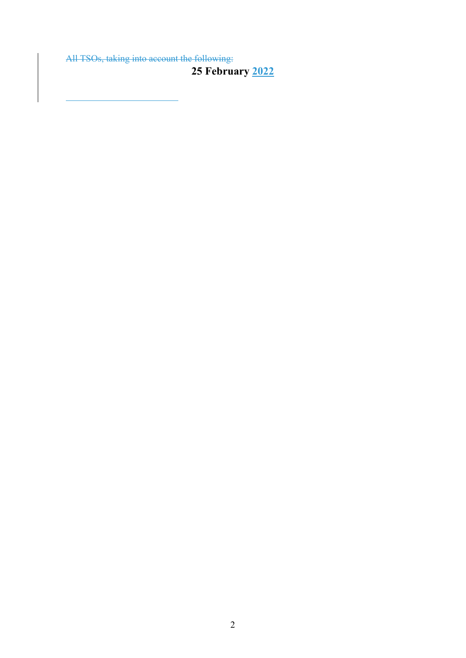All TSOs, taking into account the following:

 $\overline{a}$ 

**25 February 2022** 

2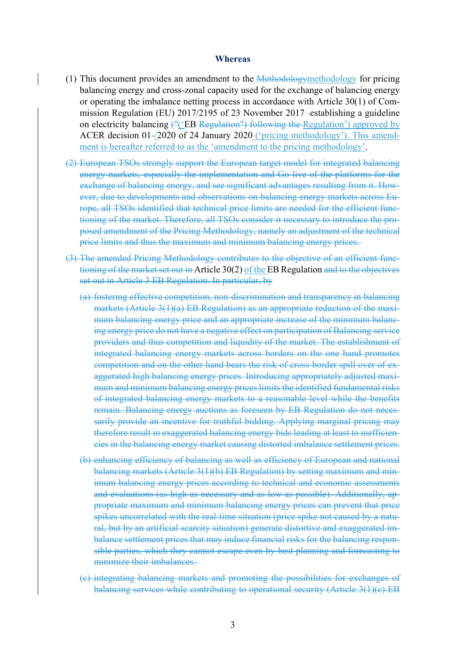#### **Whereas**

- (1) This document provides an amendment to the Methodologymethodology for pricing balancing energy and cross-zonal capacity used for the exchange of balancing energy or operating the imbalance netting process in accordance with Article 30(1) of Commission Regulation (EU) 2017/2195 of 23 November 2017 establishing a guideline on electricity balancing  $(H')$  EB Regulation") following the Regulation' approved by ACER decision 01-/2020 of 24 January 2020 ('pricing methodology'). This amendment is hereafter referred to as the 'amendment to the pricing methodology'.
- (2) European TSOs strongly support the European target model for integrated balancing energy markets, especially the implementation and Go-live of the platforms for the exchange of balancing energy, and see significant advantages resulting from it. However, due to developments and observations on balancing energy markets across Europe, all TSOs identified that technical price limits are needed for the efficient functioning of the market. Therefore, all TSOs consider it necessary to introduce the proposed amendment of the Pricing Methodology, namely an adjustment of the technical price limits and thus the maximum and minimum balancing energy prices.
- (3) The amended Pricing Methodology contributes to the objective of an efficient functioning of the market set out in Article 30(2) of the EB Regulation and to the objectives set out in Article 3 EB Regulation. In particular, by
	- (a) fostering effective competition, non-discrimination and transparency in balancing markets (Article 3(1)(a) EB Regulation) as an appropriate reduction of the maximum balancing energy price and an appropriate increase of the minimum balancing energy price do not have a negative effect on participation of Balancing service providers and thus competition and liquidity of the market. The establishment of integrated balancing energy markets across borders on the one hand promotes competition and on the other hand bears the risk of cross-border spill over of exaggerated high balancing energy prices. Introducing appropriately adjusted maximum and minimum balancing energy prices limits the identified fundamental risks of integrated balancing energy markets to a reasonable level while the benefits remain. Balancing energy auctions as foreseen by EB Regulation do not necessarily provide an incentive for truthful bidding. Applying marginal pricing may therefore result in exaggerated balancing energy bids leading at least to inefficiencies in the balancing energy market causing distorted imbalance settlement prices.
	- (b) enhancing efficiency of balancing as well as efficiency of European and national balancing markets (Article 3(1)(b) EB Regulation) by setting maximum and minimum balancing energy prices according to technical and economic assessments and evaluations (as high as necessary and as low as possible). Additionally, appropriate maximum and minimum balancing energy prices can prevent that price spikes uncorrelated with the real-time situation (price spike not caused by a natural, but by an artificial scarcity situation) generate distortive and exaggerated imbalance settlement prices that may induce financial risks for the balancing responsible parties, which they cannot escape even by best planning and forecasting to minimize their imbalances.
	- (c) integrating balancing markets and promoting the possibilities for exchanges of balancing services while contributing to operational security (Article 3(1)(c) EB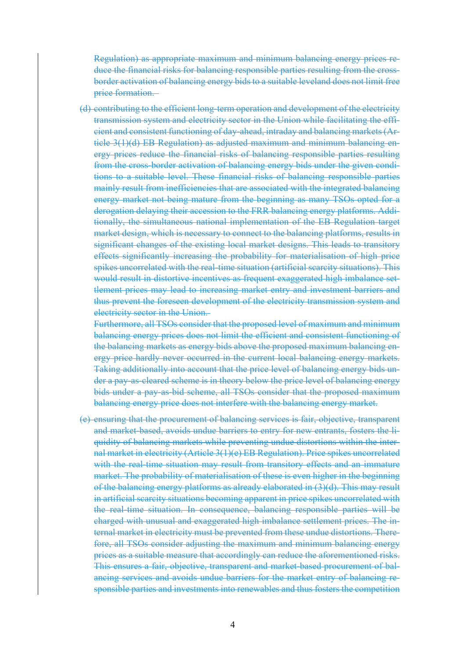Regulation) as appropriate maximum and minimum balancing energy prices reduce the financial risks for balancing responsible parties resulting from the crossborder activation of balancing energy bids to a suitable leveland does not limit free price formation.

(d) contributing to the efficient long-term operation and development of the electricity transmission system and electricity sector in the Union while facilitating the efficient and consistent functioning of day-ahead, intraday and balancing markets (Article 3(1)(d) EB Regulation) as adjusted maximum and minimum balancing energy prices reduce the financial risks of balancing responsible parties resulting from the cross-border activation of balancing energy bids under the given conditions to a suitable level. These financial risks of balancing responsible parties mainly result from inefficiencies that are associated with the integrated balancing energy market not being mature from the beginning as many TSOs opted for a derogation delaying their accession to the FRR balancing energy platforms. Additionally, the simultaneous national implementation of the EB Regulation target market design, which is necessary to connect to the balancing platforms, results in significant changes of the existing local market designs. This leads to transitory effects significantly increasing the probability for materialisation of high price spikes uncorrelated with the real-time situation (artificial scarcity situations). This would result in distortive incentives as frequent exaggerated high imbalance settlement prices may lead to increasing market entry and investment barriers and thus prevent the foreseen development of the electricity transmission system and electricity sector in the Union.

Furthermore, all TSOs consider that the proposed level of maximum and minimum balancing energy prices does not limit the efficient and consistent functioning of the balancing markets as energy bids above the proposed maximum balancing energy price hardly never occurred in the current local balancing energy markets. Taking additionally into account that the price level of balancing energy bids under a pay-as-cleared scheme is in theory below the price level of balancing energy bids under a pay-as-bid scheme, all TSOs consider that the proposed maximum balancing energy price does not interfere with the balancing energy market.

(e) ensuring that the procurement of balancing services is fair, objective, transparent and market-based, avoids undue barriers to entry for new entrants, fosters the liquidity of balancing markets while preventing undue distortions within the internal market in electricity (Article 3(1)(e) EB Regulation). Price spikes uncorrelated with the real-time situation may result from transitory effects and an immature market. The probability of materialisation of these is even higher in the beginning of the balancing energy platforms as already elaborated in (3)(d). This may result in artificial scarcity situations becoming apparent in price spikes uncorrelated with the real-time situation. In consequence, balancing responsible parties will be charged with unusual and exaggerated high imbalance settlement prices. The internal market in electricity must be prevented from these undue distortions. Therefore, all TSOs consider adjusting the maximum and minimum balancing energy prices as a suitable measure that accordingly can reduce the aforementioned risks. This ensures a fair, objective, transparent and market-based procurement of balancing services and avoids undue barriers for the market entry of balancing responsible parties and investments into renewables and thus fosters the competition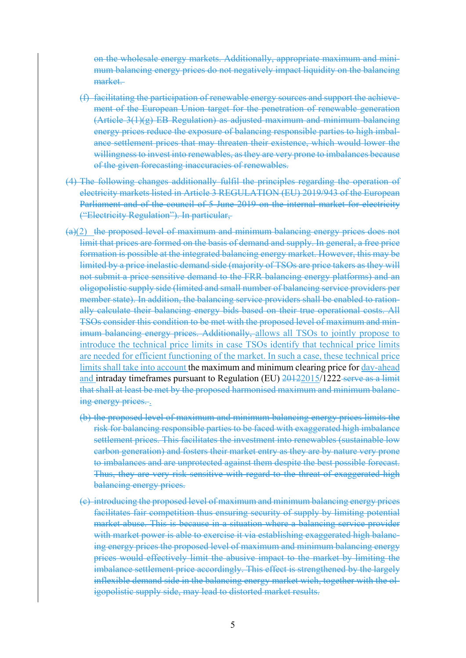on the wholesale energy markets. Additionally, appropriate maximum and minimum balancing energy prices do not negatively impact liquidity on the balancing market.

- (f) facilitating the participation of renewable energy sources and support the achievement of the European Union target for the penetration of renewable generation  $(A$ rticle  $3(1)(g)$  EB Regulation) as adjusted maximum and minimum balancing energy prices reduce the exposure of balancing responsible parties to high imbalance settlement prices that may threaten their existence, which would lower the willingness to invest into renewables, as they are very prone to imbalances because of the given forecasting inaccuracies of renewables.
- (4) The following changes additionally fulfil the principles regarding the operation of electricity markets listed in Article 3 REGULATION (EU) 2019/943 of the European Parliament and of the council of 5 June 2019 on the internal market for electricity ("Electricity Regulation"). In particular,
- (a)(2) the proposed level of maximum and minimum balancing energy prices does not limit that prices are formed on the basis of demand and supply. In general, a free price formation is possible at the integrated balancing energy market. However, this may be limited by a price inelastic demand side (majority of TSOs are price takers as they will not submit a price sensitive demand to the FRR balancing energy platforms) and an oligopolistic supply side (limited and small number of balancing service providers per member state). In addition, the balancing service providers shall be enabled to rationally calculate their balancing energy bids based on their true operational costs. All TSOs consider this condition to be met with the proposed level of maximum and minimum balancing energy prices. Additionally, allows all TSOs to jointly propose to introduce the technical price limits in case TSOs identify that technical price limits are needed for efficient functioning of the market. In such a case, these technical price limits shall take into account the maximum and minimum clearing price for day-ahead and intraday timeframes pursuant to Regulation (EU) 20122015/1222 serve as a limit that shall at least be met by the proposed harmonised maximum and minimum balancing energy prices...
	- (b) the proposed level of maximum and minimum balancing energy prices limits the risk for balancing responsible parties to be faced with exaggerated high imbalance settlement prices. This facilitates the investment into renewables (sustainable low carbon generation) and fosters their market entry as they are by nature very prone to imbalances and are unprotected against them despite the best possible forecast. Thus, they are very risk sensitive with regard to the threat of exaggerated high balancing energy prices.
	- (c) introducing the proposed level of maximum and minimum balancing energy prices facilitates fair competition thus ensuring security of supply by limiting potential market abuse. This is because in a situation where a balancing service provider with market power is able to exercise it via establishing exaggerated high balancing energy prices the proposed level of maximum and minimum balancing energy prices would effectively limit the abusive impact to the market by limiting the imbalance settlement price accordingly. This effect is strengthened by the largely inflexible demand side in the balancing energy market wich, together with the oligopolistic supply side, may lead to distorted market results.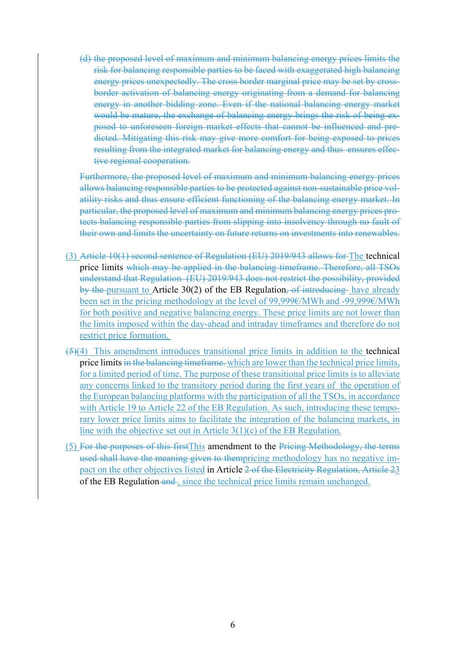(d) the proposed level of maximum and minimum balancing energy prices limits the risk for balancing responsible parties to be faced with exaggerated high balancing energy prices unexpectedly. The cross border marginal price may be set by crossborder activation of balancing energy originating from a demand for balancing energy in another bidding zone. Even if the national balancing energy market would be mature, the exchange of balancing energy brings the risk of being exposed to unforeseen foreign market effects that cannot be influenced and predicted. Mitigating this risk may give more comfort for being exposed to prices resulting from the integrated market for balancing energy and thus ensures effective regional cooperation.

Furthermore, the proposed level of maximum and minimum balancing energy prices allows balancing responsible parties to be protected against non-sustainable price volatility risks and thus ensure efficient functioning of the balancing energy market. In particular, the proposed level of maximum and minimum balancing energy prices protects balancing responsible parties from slipping into insolvency through no fault of their own and limits the uncertainty on future returns on investments into renewables.

- (3) Article 10(1) second sentence of Regulation (EU) 2019/943 allows for The technical price limits which may be applied in the balancing timeframe. Therefore, all TSOs understand that Regulation (EU) 2019/943 does not restrict the possibility, provided by the pursuant to Article 30(2) of the EB Regulation, of introducing have already been set in the pricing methodology at the level of 99,999€/MWh and -99,999€/MWh for both positive and negative balancing energy. These price limits are not lower than the limits imposed within the day-ahead and intraday timeframes and therefore do not restrict price formation.
- (5)(4) This amendment introduces transitional price limits in addition to the technical price limits in the balancing timeframe. which are lower than the technical price limits, for a limited period of time. The purpose of these transitional price limits is to alleviate any concerns linked to the transitory period during the first years of the operation of the European balancing platforms with the participation of all the TSOs, in accordance with Article 19 to Article 22 of the EB Regulation. As such, introducing these temporary lower price limits aims to facilitate the integration of the balancing markets, in line with the objective set out in Article  $3(1)(c)$  of the EB Regulation.
- (5) For the purposes of this firstThis amendment to the Pricing Methodology, the terms used shall have the meaning given to thempricing methodology has no negative impact on the other objectives listed in Article 2 of the Electricity Regulation, Article 23 of the EB Regulation and, since the technical price limits remain unchanged.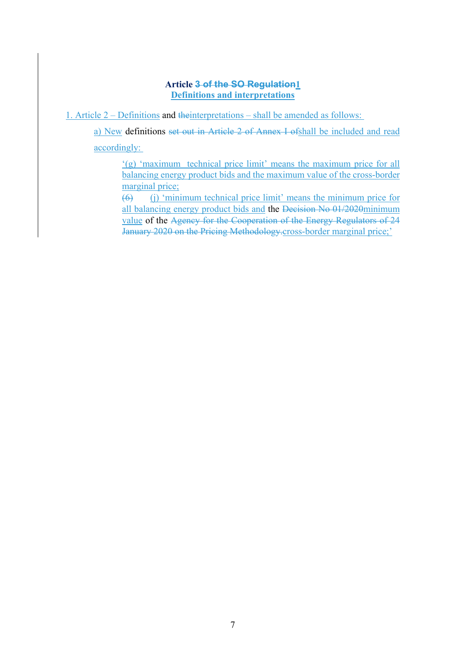#### **Article 3 of the SO Regulation1 Definitions and interpretations**

1. Article 2 – Definitions and theinterpretations – shall be amended as follows:

a) New definitions set out in Article 2 of Annex I ofshall be included and read accordingly:

'(g) 'maximum technical price limit' means the maximum price for all balancing energy product bids and the maximum value of the cross-border marginal price;

(6) (j) 'minimum technical price limit' means the minimum price for all balancing energy product bids and the Decision No 01/2020minimum value of the Agency for the Cooperation of the Energy Regulators of 24 January 2020 on the Pricing Methodology.cross-border marginal price;'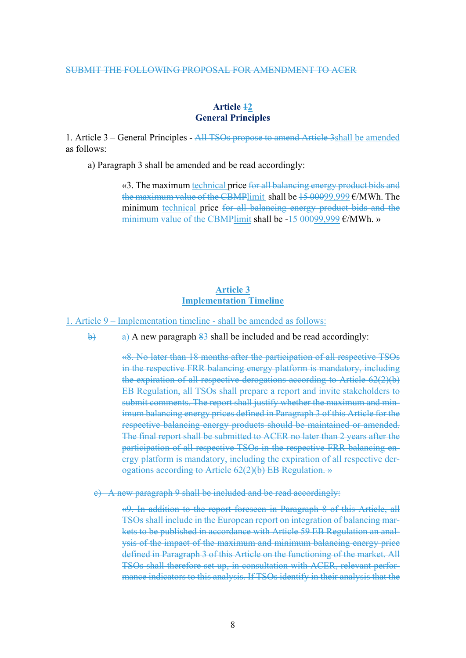#### SUBMIT THE FOLLOWING PROPOSAL FOR AMENDMENT TO ACER

#### **Article 12 General Principles**

1. Article 3 – General Principles - All TSOs propose to amend Article 3shall be amended as follows:

a) Paragraph 3 shall be amended and be read accordingly:

«3. The maximum technical price for all balancing energy product bids and the maximum value of the CBMPlimit shall be 15 00099,999 €/MWh. The minimum technical price for all balancing energy product bids and the minimum value of the CBMPlimit shall be  $-15\,00099.999\,\text{E/MWh.}$ 

#### **Article 3 Implementation Timeline**

1. Article 9 – Implementation timeline - shall be amended as follows:

 $\theta$  a) A new paragraph  $\frac{83}{9}$  shall be included and be read accordingly:

«8. No later than 18 months after the participation of all respective TSOs in the respective FRR balancing energy platform is mandatory, including the expiration of all respective derogations according to Article 62(2)(b) EB Regulation, all TSOs shall prepare a report and invite stakeholders to submit comments. The report shall justify whether the maximum and minimum balancing energy prices defined in Paragraph 3 of this Article for the respective balancing energy products should be maintained or amended. The final report shall be submitted to ACER no later than 2 years after the participation of all respective TSOs in the respective FRR balancing energy platform is mandatory, including the expiration of all respective derogations according to Article 62(2)(b) EB Regulation. »

c) A new paragraph 9 shall be included and be read accordingly:

«9. In addition to the report foreseen in Paragraph 8 of this Article, all TSOs shall include in the European report on integration of balancing markets to be published in accordance with Article 59 EB Regulation an analysis of the impact of the maximum and minimum balancing energy price defined in Paragraph 3 of this Article on the functioning of the market. All TSOs shall therefore set up, in consultation with ACER, relevant performance indicators to this analysis. If TSOs identify in their analysis that the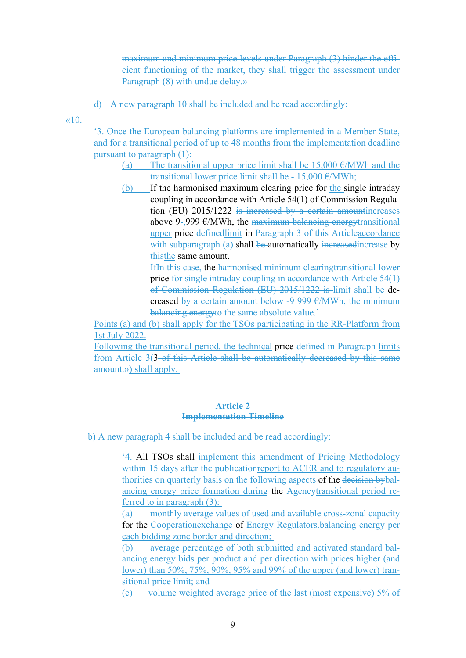maximum and minimum price levels under Paragraph (3) hinder the efficient functioning of the market, they shall trigger the assessment under Paragraph (8) with undue delay.»

d) A new paragraph 10 shall be included and be read accordingly:

 $#10.$ 

'3. Once the European balancing platforms are implemented in a Member State, and for a transitional period of up to 48 months from the implementation deadline pursuant to paragraph (1):

- (a) The transitional upper price limit shall be  $15,000 \text{ }\epsilon/\text{MWh}$  and the transitional lower price limit shall be - 15,000  $\epsilon$ /MWh;
- (b) If the harmonised maximum clearing price for the single intraday coupling in accordance with Article 54(1) of Commission Regulation (EU) 2015/1222 is increased by a certain amountincreases above 9-,999  $\epsilon$ /MWh, the maximum balancing energy transitional upper price definedlimit in Paragraph 3 of this Articleaccordance with subparagraph (a) shall be automatically increased increase by thisthe same amount.

IfIn this case, the harmonised minimum clearingtransitional lower price for single intraday coupling in accordance with Article 54(1) of Commission Regulation (EU) 2015/1222 is limit shall be decreased by a certain amount below -9 999  $\epsilon$ /MWh, the minimum balancing energy to the same absolute value.'

Points (a) and (b) shall apply for the TSOs participating in the RR-Platform from 1st July 2022.

Following the transitional period, the technical price defined in Paragraph limits from Article 3(3 of this Article shall be automatically decreased by this same amount.») shall apply.

#### **Article 2 Implementation Timeline**

b) A new paragraph 4 shall be included and be read accordingly:

'4. All TSOs shall implement this amendment of Pricing Methodology within 15 days after the publication report to ACER and to regulatory authorities on quarterly basis on the following aspects of the decision bybalancing energy price formation during the Agencytransitional period referred to in paragraph (3):

(a) monthly average values of used and available cross-zonal capacity for the Cooperationexchange of Energy Regulators.balancing energy per each bidding zone border and direction;

(b) average percentage of both submitted and activated standard balancing energy bids per product and per direction with prices higher (and lower) than 50%, 75%, 90%, 95% and 99% of the upper (and lower) transitional price limit; and

(c) volume weighted average price of the last (most expensive) 5% of